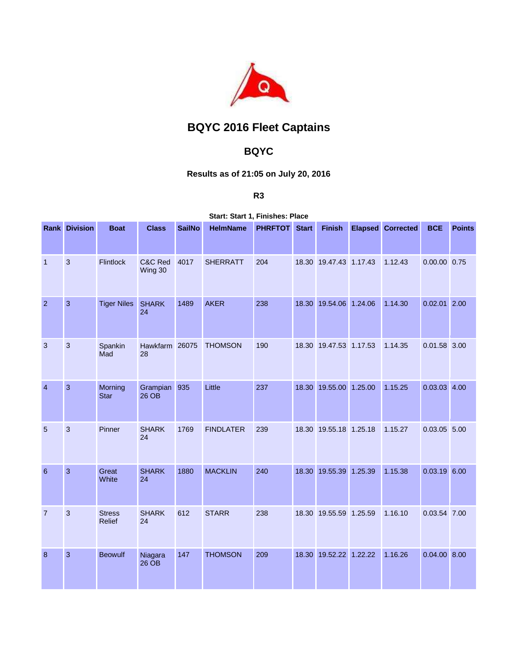

## **BQYC 2016 Fleet Captains**

## **BQYC**

## **Results as of 21:05 on July 20, 2016**

**R3**

**Start: Start 1, Finishes: Place** 

|                 | <b>Rank Division</b> | <b>Boat</b>             | <b>Class</b>         | <b>SailNo</b> | <b>HelmName</b>  | <b>PHRFTOT</b> Start |       | <b>Finish</b>          | <b>Elapsed</b> | <b>Corrected</b> | <b>BCE</b>     | <b>Points</b> |
|-----------------|----------------------|-------------------------|----------------------|---------------|------------------|----------------------|-------|------------------------|----------------|------------------|----------------|---------------|
| $\overline{1}$  | 3                    | <b>Flintlock</b>        | C&C Red<br>Wing 30   | 4017          | <b>SHERRATT</b>  | 204                  |       | 18.30 19.47.43 1.17.43 |                | 1.12.43          | 0.00.00 0.75   |               |
| $\overline{2}$  | 3                    | <b>Tiger Niles</b>      | <b>SHARK</b><br>24   | 1489          | <b>AKER</b>      | 238                  | 18.30 | 19.54.06 1.24.06       |                | 1.14.30          | $0.02.01$ 2.00 |               |
| 3               | 3                    | Spankin<br>Mad          | Hawkfarm 26075<br>28 |               | <b>THOMSON</b>   | 190                  |       | 18.30 19.47.53 1.17.53 |                | 1.14.35          | $0.01.58$ 3.00 |               |
| $\overline{4}$  | 3                    | Morning<br><b>Star</b>  | Grampian<br>26 OB    | 935           | Little           | 237                  |       | 18.30 19.55.00 1.25.00 |                | 1.15.25          | $0.03.03$ 4.00 |               |
| 5               | 3                    | Pinner                  | <b>SHARK</b><br>24   | 1769          | <b>FINDLATER</b> | 239                  |       | 18.30 19.55.18 1.25.18 |                | 1.15.27          | $0.03.05$ 5.00 |               |
| $6\phantom{1}6$ | 3                    | Great<br>White          | <b>SHARK</b><br>24   | 1880          | <b>MACKLIN</b>   | 240                  | 18.30 | 19.55.39 1.25.39       |                | 1.15.38          | $0.03.19$ 6.00 |               |
| $\overline{7}$  | 3                    | <b>Stress</b><br>Relief | <b>SHARK</b><br>24   | 612           | <b>STARR</b>     | 238                  |       | 18.30 19.55.59 1.25.59 |                | 1.16.10          | 0.03.54 7.00   |               |
| 8               | 3                    | <b>Beowulf</b>          | Niagara<br>26 OB     | 147           | <b>THOMSON</b>   | 209                  | 18.30 | 19.52.22 1.22.22       |                | 1.16.26          | 0.04.00 8.00   |               |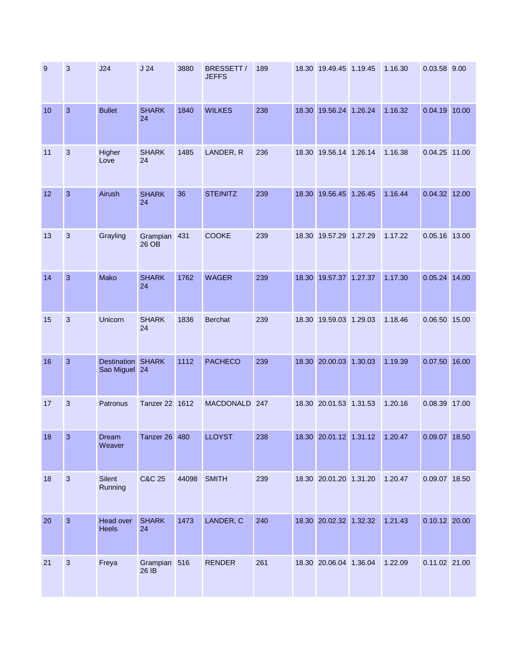| 9  | 3              | J24                                 | J <sub>24</sub>       | 3880  | BRESSETT /<br><b>JEFFS</b> | 189 | 18.30 19.49.45 1.19.45 | 1.16.30 | 0.03.58 9.00    |  |
|----|----------------|-------------------------------------|-----------------------|-------|----------------------------|-----|------------------------|---------|-----------------|--|
| 10 | $\overline{3}$ | <b>Bullet</b>                       | <b>SHARK</b><br>24    | 1840  | <b>WILKES</b>              | 238 | 18.30 19.56.24 1.26.24 | 1.16.32 | 0.04.19 10.00   |  |
| 11 | 3              | Higher<br>Love                      | <b>SHARK</b><br>24    | 1485  | LANDER, R                  | 236 | 18.30 19.56.14 1.26.14 | 1.16.38 | 0.04.25 11.00   |  |
| 12 | 3              | Airush                              | <b>SHARK</b><br>24    | 36    | <b>STEINITZ</b>            | 239 | 18.30 19.56.45 1.26.45 | 1.16.44 | 0.04.32 12.00   |  |
| 13 | 3              | Grayling                            | Grampian<br>26 OB     | 431   | <b>COOKE</b>               | 239 | 18.30 19.57.29 1.27.29 | 1.17.22 | 0.05.16 13.00   |  |
| 14 | $\overline{3}$ | Mako                                | <b>SHARK</b><br>24    | 1762  | <b>WAGER</b>               | 239 | 18.30 19.57.37 1.27.37 | 1.17.30 | 0.05.24 14.00   |  |
| 15 | 3              | Unicorn                             | <b>SHARK</b><br>24    | 1836  | <b>Berchat</b>             | 239 | 18.30 19.59.03 1.29.03 | 1.18.46 | 0.06.50 15.00   |  |
| 16 | $\overline{3}$ | <b>Destination</b><br>Sao Miguel 24 | <b>SHARK</b>          | 1112  | <b>PACHECO</b>             | 239 | 18.30 20.00.03 1.30.03 | 1.19.39 | 0.07.50 16.00   |  |
| 17 | 3              | Patronus                            | Tanzer 22 1612        |       | MACDONALD 247              |     | 18.30 20.01.53 1.31.53 | 1.20.16 | 0.08.39 17.00   |  |
| 18 | 3              | Dream<br>Weaver                     | <b>Tanzer 26 480</b>  |       | <b>LLOYST</b>              | 238 | 18.30 20.01.12 1.31.12 | 1.20.47 | 0.09.07 18.50   |  |
| 18 | $\mathfrak{S}$ | Silent<br>Running                   | <b>C&amp;C 25</b>     | 44098 | <b>SMITH</b>               | 239 | 18.30 20.01.20 1.31.20 | 1.20.47 | 0.09.07 18.50   |  |
| 20 | $\overline{3}$ | Head over<br><b>Heels</b>           | <b>SHARK</b><br>24    | 1473  | LANDER, C                  | 240 | 18.30 20.02.32 1.32.32 | 1.21.43 | $0.10.12$ 20.00 |  |
| 21 | $\mathbf{3}$   | Freya                               | Grampian 516<br>26 IB |       | <b>RENDER</b>              | 261 | 18.30 20.06.04 1.36.04 | 1.22.09 | 0.11.02 21.00   |  |